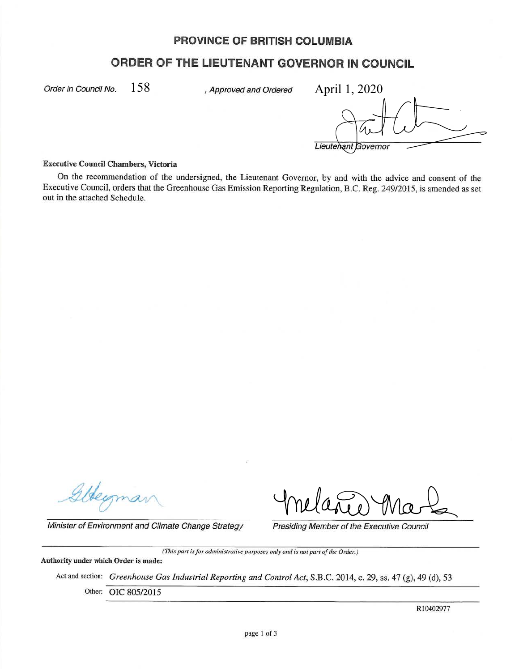# **PROVINCE OF BRITISH COLUMBIA**

## **ORDER OF THE LIEUTENANT GOVERNOR IN COUNCIL**

Order in Council No.  $\quad 158 \qquad \qquad$  , Approved and Ordered  $\qquad$  Ap $\rm{ril}$   $1,2020$ 

Lieutenant Governor

#### **Executive Council Chambers, Victoria**

On the recommendation of the undersigned, the Lieutenant Governor, by and with the advice and consent of the Executive Council, orders that the Greenhouse Gas Emission Reporting Regulation, B.C. Reg. 249/2015, is amended as set out in the attached Schedule.

Minister of Environment and Climate Change Strategy Presiding Member of the Executive Council

*(This part is for administrative purposes only and is not part of the Order.)* 

**Authority under which Order is made:** 

Act and section: *Greenhouse Gas Industrial Reporting and Control Act,* **S.B.C.** 2014, c. 29, ss. 47 (g), 49 (d), 53

Other: OIC 805/2015

RI0402977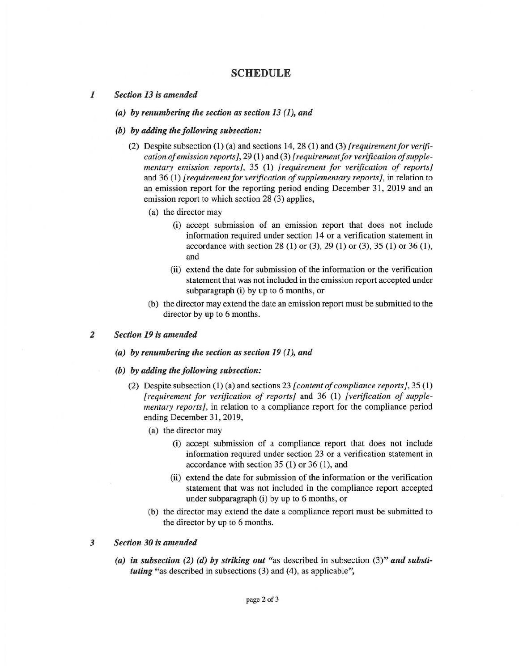### **SCHEDULE**

#### *1 Section 13 is amended*

- *(a) by renumbering the section as section 13 (1), and*
- *(b) by adding the following subsection:* 
	- (2) Despite subsection (1) (a) and sections 14, 28 (1) and (3) *[requirement for verification of emission reports],* 29 (1) and (3) *[requirement for verification of supplementary emission reports],* 35 (1) *[requirement for verification of reports]*  and 36 (1) *[ requirement for verification of supplementary reports],* in relation to an emission report for the reporting period ending December 31, 2019 and an emission report to which section 28 (3) applies,
		- (a) the director may
			- (i) accept submission of an emission report that does not include information required under section 14 or a verification statement in accordance with section 28 (1) or (3), 29 (1) or (3), 35 (1) or 36 (1), and
			- (ii) extend the date for submission of the information or the verification statement that was not included in the emission report accepted under subparagraph (i) by up to 6 months, or
		- (b) the director may extend the date an emission report must be submitted to the director by up to 6 months.

#### *2 Section 19 is amended*

- *(a) by renumbering the section as section 19 (1), and*
- *(b) by adding the following subsection:* 
	- (2) Despite subsection (1) (a) and sections 23 *[content of compliance reports},* 35 (1) *[ requirement for verification of reports]* and 36 (1) *[verification of supplementary reports],* in relation to a compliance report for the compliance period ending December 31, 2019,
		- (a) the director may
			- (i) accept submission of a compliance report that does not include information required under section 23 or a verification statement in accordance with section 35 (1) or 36 (1), and
			- (ii) extend the date for submission of the information or the verification statement that was not included in the compliance report accepted under subparagraph (i) by up to 6 months, or
		- (b) the director may extend the date a compliance report must be submitted to the director by up to 6 months.

### *3 Section 30 is amended*

*(a) in subsection (2) (d) by striking out* "as described in subsection (3)" *and substituting* "as described in subsections (3) and (4), as applicable",